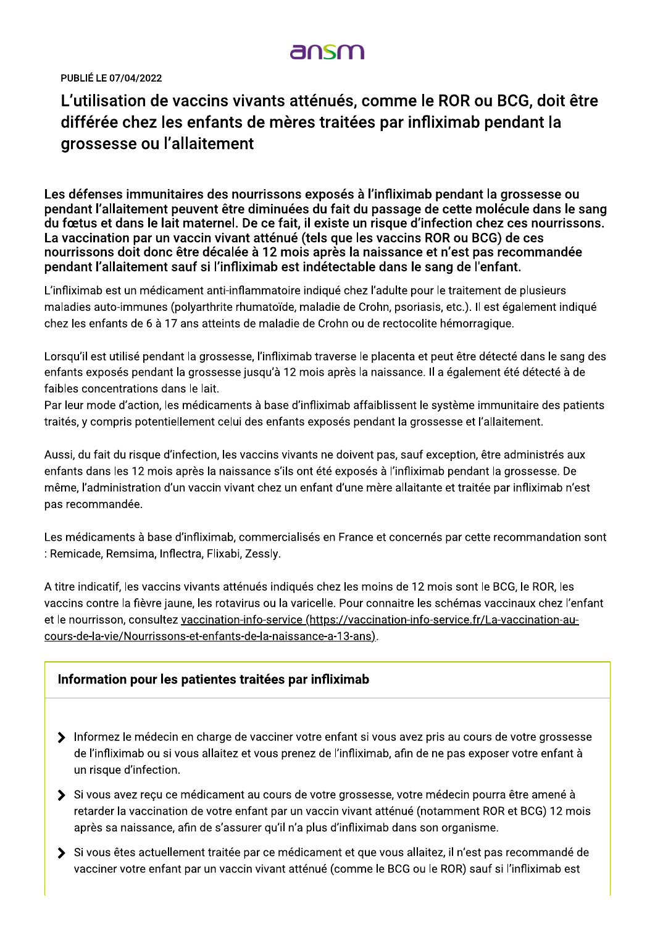PUBLIÉ LE 07/04/2022

# L'utilisation de vaccins vivants attenues, comme le ROR ou BCG, doit etr differee chez les enfants de meres traitees par infliximab pendant la grossesse ou l'allaitement

Les défenses immunitaires des nourrissons exposés à l'infliximab pendant la grossesse ou l' pendant i alialtement peuvent etre diminuées du fait du passage de cette molécule dans le sang<br>. du fœtus et dans le lait maternel. De ce fait, il existe un risque d'infection chez ces nourrissons.<br>. La vaccination par un vaccin vivant attenue (teis que les vaccins ROR ou BCG) de ces ies par infliximab pendant la<br>
à l'infliximab pendant la grossesse ou<br>
du passage de cette molécule dans le sang<br>
un risque d'infection chez ces nourrissons.<br>
les vaccins ROR ou BCG) de ces<br>
a naissance et n'est pas recomm S. nourrissons doit donc étre décalée à 12 mois après la naissance et n'est pas recommandée : pendant i alialtement sauf și i infliximab est indetectable dans le sang de l'enfant. **)**<br>, comme le ROR ou BCG, doit être<br>ées par infliximab pendant la<br>, à l'infliximab pendant la grossesse ou<br>du passage de cette molécule dans le sang<br>un risque d'infection chez ces nourrissons.<br>les vaccins ROR ou BCG) de c

L'infliximab est un médicament anti-inflammatoire indiqué chez l'adulte pour le traitement de plusieurs maladies auto-immunes (polyarthrite rhumatoïde, maladie de Crohn, psoriasis, etc.). Il est également indiqué chez les enfants de 6 à 17 ans atteints de maladie de Crohn ou de rectocolite hémorragique.

Lorsqu'il est utilisé pendant la grossesse, l'infliximab traverse le placenta et peut être détecté dans le sang des enfants exposés pendant la grossesse jusqu'à 12 mois après la naissance. Il a également été détecté à de faibles concentrations dans le lait.

Par leur mode d'action, les médicaments à base d'infliximab affaiblissent le système immunitaire des patients traités, y compris potentiellement celui des enfants exposés pendant la grossesse et l'allaitement.

Aussi, du fait du risque d'infection, les vaccins vivants ne doivent pas, sauf exception, être administrés aux enfants dans les 12 mois après la naissance s'ils ont été exposés à l'infliximab pendant la grossesse. De même, l'administration d'un vaccin vivant chez un enfant d'une mère allaitante et traitée par infliximab n'est pas recommandée.

Les médicaments à base d'infliximab, commercialisés en France et concernés par cette recommandation sont : Remicade, Remsima, Inflectra, Flixabi, Zessly,

A titre indicatif, les vaccins vivants atténués indiqués chez les moins de 12 mois sont le BCG, le ROR, les vaccins contre la fièvre jaune, les rotavirus ou la varicelle. Pour connaitre les schémas vaccinaux chez l'enfant et le nourrisson, consultez vaccination-info-service (https://vaccination-info-service.fr/La-vaccination-aucours-de-la-vie/Nourrissons-et-enfants-de-la-naissance-a-13-ans).

### Information pour les patientes traitées par infliximab

- $\blacktriangleright$  Thrormez le medecin en charge de vacciner votre entant si vous avez pris au cours de votre grossesse de l'infliximab ou si vous allaitez et vous prenez de l'infliximab, afin de ne pas exposer votre enfant à un risque d'infection.
- $\blacktriangleright$  SI vous avez reçu ce medicament au cours de votre grossesse, votre medecin pourra etre amene a retarder la vaccination de votre enfant par un vaccin vivant atténué (notamment ROR et BCG) 12 mois après sa naissance, afin de s'assurer qu'il n'a plus d'infliximab dans son organisme.
- $\blacktriangleright$  SI vous etes actuellement traitée par ce medicament et que vous allaitez, il n'est pas recommande de vacciner votre enfant par un vaccin vivant atténué (comme le BCG ou le ROR) sauf si l'infliximab est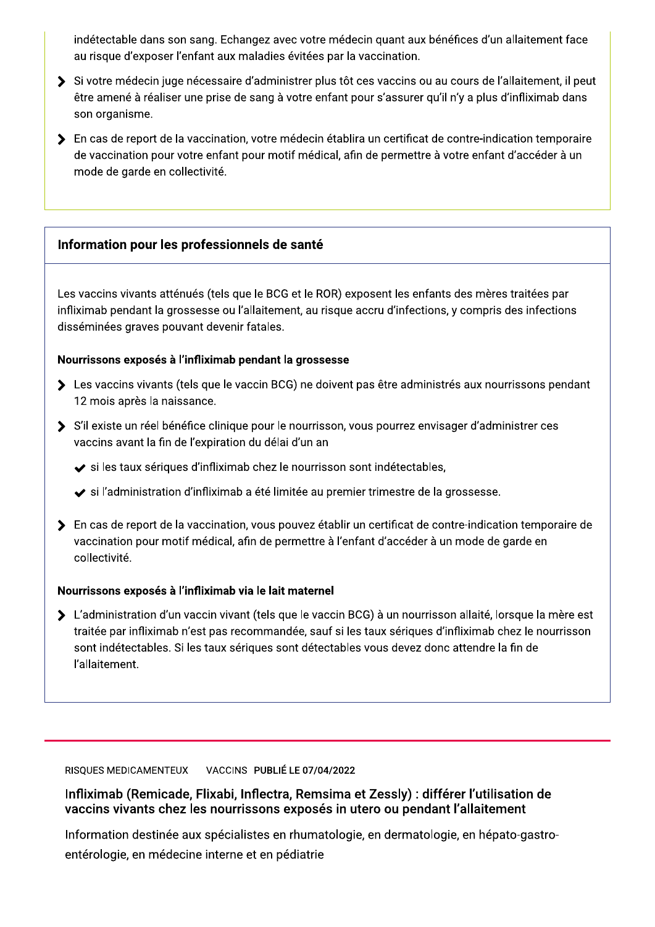indetectable dans son sang. Ecnangez avec votre medecin quant aux benefices d'un allaitement face  $\,$ au risque d'exposer i enfant aux maladies evitées par la vaccination.

- indétectable dans son sang. Echang<br>
au risque d'exposer l'enfant aux mala<br>
Si votre médecin juge nécessaire d'a<br>
être amené à réaliser une prise de sa<br>
son organisme.<br>
Se la vaccination, vo<br>
de vaccination pour votre enfan p. Echangez avec votre médecin quant aux bé<br>t aux maladies évitées par la vaccination.<br>ssaire d'administrer plus tôt ces vaccins ou a<br>rise de sang à votre enfant pour s'assurer qu'<br>ination, votre médecin établira un certif  $\blacktriangleright$  SI votre medecin juge necessaire d'administrer plus tot ces vaccins ou au cours de l'aliaitement, il p ices d'un allaitement face<br>ours de l'allaitement, il peut<br>'y a plus d'infliximab dans<br>ontre-indication temporaire<br>tre enfant d'accéder à un etre amene a realiser une prise de sang a votre enfant pour s'assurer qu'il n y a plus d'infliximab dans l son organisme. énéfices d'un allaitement face<br>
uu cours de l'allaitement, il peut<br>
'il n'y a plus d'infliximab dans<br>
e contre-indication temporaire<br>
votre enfant d'accéder à un
- ang. Echangez avec votre médecin quant aux<br>ant aux maladies évitées par la vaccination.<br>cessaire d'administrer plus tôt ces vaccins ou<br>e prise de sang à votre enfant pour s'assurer d<br>ccination, votre médecin établira un ce étectable dans son sang. Echangez avec votr<br>risque d'exposer l'enfant aux maladies évitées<br>votre médecin juge nécessaire d'administrer p<br>e amené à réaliser une prise de sang à votre e<br>n organisme.<br>cas de report de la vacci nangez avec votre médecin quant aux bénéfic<br>
maladies évitées par la vaccination.<br>
e d'administrer plus tôt ces vaccins ou au cou<br>
de sang à votre enfant pour s'assurer qu'il n'y<br>
on, votre médecin établira un certificat d cin quant aux bénéfices d'un allaitement face<br>vaccination.<br>es vaccins ou au cours de l'allaitement, il peu<br>pur s'assurer qu'il n'y a plus d'infliximab dans<br>a un certificat de contre-indication temporaire<br>i de permettre à v  $\blacktriangleright$  . En cas de report de la vaccination, votre medecin etablira un certificat de contre-indication te indétectable dans son sang. Echan<br>
au risque d'exposer l'enfant aux ma<br>
Si votre médecin juge nécessaire d<br>
être amené à réaliser une prise de s<br>
son organisme.<br>
Si rotre médecin que prise de s<br>
son organisme.<br>
De rots de de vaccination pour votre enfant pour motif medical, afin de permettre à votre enfant d'acceder à un  $\,$ au risque d'exposer l'enfant aux malades<br>
> Si votre médecin juge nécessaire d'ad<br>
être amené à réaliser une prise de san<br>
son organisme.<br>
> En cas de report de la vaccination, vot<br>
de vaccination pour votre enfant pour<br>
m d'exposer l'enfant aux maladies évitées par la<br>édecin juge nécessaire d'administrer plus tôt<br>é à réaliser une prise de sang à votre enfant p<br>isme.<br>report de la vaccination, votre médecin établii<br>tion pour votre enfant pour dies évitées par la vaccination.<br>
Iministrer plus tôt ces vaccins ou au cours de<br>
ig à votre enfant pour s'assurer qu'il n'y a plus<br>
tre médecin établira un certificat de contre-inc<br>
motif médical, afin de permettre à votr mode de garde en collectivité.

## information pour les professionnels de sante

Les vaccins vivants attenues (teis que le BCG et le ROR) exposent les enfants des mères traitées p nnels de santé<br>
ue le BCG et le ROR) exposent les enfants des<br>
d'allaitement, au risque accru d'infections, y contratales.<br>
Dendant la grossesse<br>
accin BCG) ne doivent pas être administrés au Marias des mères traitées par de la production de la production de la production de la production de la production de la production de la production de la production de la production de la production de la production de la infliximab pendant la grossesse où i allaitement, au risque accru d'infections, y compris des infections  $\,$ Information pour les profess<br>
Les vaccins vivants atténués (tels<br>
infliximab pendant la grossesse disséminées graves pouvant dev<br>
Nourrissons exposés à l'inflixima<br>
> Les vaccins vivants (tels que l<br>
12 mois après la naiss Modern Maria des mères traitées par diffections, y compris des infections<br>Antiparties des infections<br>Antiparties aux nourrissons pendant<br>Antiparties aux nourrissons pendant<br>Antiparties aux nourrissons pendant<br>Antiparties a disseminees graves pouvant devenir fatales. Information pour les professionnels de la professionnels<br>
Les vaccins vivants atténués (tels que le BC<br>
infliximab pendant la grossesse ou l'allaiter<br>
disséminées graves pouvant devenir fatale:<br> **Nourrissons exposés à l'in** ue le BCG et le ROR) exposent les enfants des<br>'allaitement, au risque accru d'infections, y contratales.<br>pendant la grossesse<br>accin BCG) ne doivent pas être administrés a<br>le pour le nourrisson, vous pourrez envisager<br>n du nnts des mères traitées par<br>
nns, y compris des infections<br>
istrés aux nourrissons pendant<br>
visager d'administrer ces<br>
es,<br>
la grossesse. Les vaccins vivants atténués (tels q<br>
infliximab pendant la grossesse ou<br>
disséminées graves pouvant deveni<br>
Nourrissons exposés à l'infliximab<br>
> Les vaccins vivants (tels que le v<br>
12 mois après la naissance.<br>
> S'il exi

## nourrissons exposes a i infliximab pendant la grossesse

- $\blacktriangleright$  Les vaccins vivants (tels que le vaccin BCG) he doivent pas etre administres aux nourrissons p TZ mois apres la naissance. aves pouvant devenir fatales.<br> **posés à l'infliximab pendant la grossesse**<br>
vivants (tels que le vaccin BCG) ne doivent pa<br>
ès la naissance.<br>
n réel bénéfice clinique pour le nourrisson, vou<br>
nt la fin de l'expiration du d ales.<br> **dant la grossesse**<br>
in BCG) ne doivent pas être administrés aux n<br>
pur le nourrisson, vous pourrez envisager d'ad<br>
délai d'un an<br>
hez le nourrisson sont indétectables,<br>
té limitée au premier trimestre de la grosses
- $\blacktriangleright$   $\blacktriangleright$   $\mathsf{S}$  if existe un reef benefice clinique pour le nourrisson, vous pourrez envisager d'administrer ces vaccins avant la fin de l'expiration du delai d'un an
	- $\blacktriangleright$  si les taux seriques d'infliximab chez le nourrisson sont indétéctables,
	- $\blacktriangleright$  si l'administration d'infliximab a été limitée au premier trimestre de la grossesse.
- ssons exposés à l'infliximab pendant la gross<br>vaccins vivants (tels que le vaccin BCG) ne d<br>mois après la naissance.<br>existe un réel bénéfice clinique pour le nourris<br>cins avant la fin de l'expiration du délai d'un a<br>si les ue le vaccin BCG) ne doivent pas être adminis<br>
E.<br>
Clinique pour le nourrisson, vous pourrez envis<br>
piration du délai d'un an<br>
fliximab chez le nourrisson sont indétectables<br>
ximab a été limitée au premier trimestre de la<br>  $\blacktriangleright$  . En cas de report de la vaccination, vous pouvez etablir un certificat de contre-indication temporaire de  $\blacksquare$ S'il existe un réel bénéfice clinique<br>
vaccins avant la fin de l'expiration d<br>
v si les taux sériques d'infliximab<br>
v si l'administration d'infliximab a<br>
<br>
> En cas de report de la vaccination,<br>
vaccination pour motif méd bénéfice clinique pour le nourrisson, vous pour<br>
in de l'expiration du délai d'un an<br>
ques d'infliximab chez le nourrisson sont inde<br>
tion d'infliximab a été limitée au premier trime<br>
de la vaccination, vous pouvez établir nvisager d'administrer ces<br>ples,<br>e la grossesse.<br>e contre-indication temporaire de<br>r à un mode de garde en<br>risson allaité, lorsque la mère est<br>es d'infliximab chez le nourrisson vaccination pour motif medical, afin de permettre a Fenfant d'acceder a un mode de garde en  $\;$ collectivité.

## Nourrissons exposes a l'infliximab via le lait maternel

vaccins avant la fin de l'expiration de l'expiration de la vaccination d'infliximab<br>
vers il l'administration d'infliximable<br>
vers il l'administration d'infliximable<br>
because to la vaccination,<br>
vaccination pour motif médi Transformation du délai d'un antiques d'infliximab chez le nourrisson sont induition d'infliximab a été limitée au premier trim<br>de la vaccination, vous pouvez établir un certi<br>motif médical, afin de permettre à l'enfant d'  $\blacktriangleright$   $\;$  L administration d'un vaccin vivant (tels que le vaccin BCG) à un nourrisson allaite, lorsque la mère est traitee par infliximab n est pas recommandee, sauf si les taux seriques d'infliximab chez le nourrisson i → En cas de report de la vaccina<br>
vaccination pour motif médic<br>
collectivité.<br>
Nourrissons exposés à l'inflixima<br>
→ L'administration d'un vaccin v<br>
traitée par infliximab n'est pas<br>
sont indétectables. Si les taux<br>
l'alla cas de report de la vaccination, vous pouvez é<br>cination pour motif médical, afin de permettre<br>ectivité.<br>ssons exposés à l'infliximab via le lait matern<br>lministration d'un vaccin vivant (tels que le va<br>cée par infliximab n' sont indetectables. Si les taux seriques sont detectables vous devez donc attendre la fin de l'allaitement.

> VACCINS PUBLIE LE 07/04/2022 RISQUES MEDICAMENTEUX

 $\liminf$ rad (Remicade, Filxabi, Inflectra, Remsima et Zessiy) : differer l'utilisation de vaccins vivants chez les nourrissons exposes in utero ou pendant i allaitement  $\blacksquare$ 

information destinée aux spécialistes en mumatologie, en dérmatologie, en n UES MEDICAMENTEUX<br>
VACCINS PUBLIÉ LE 07/04/:<br>
Ximab (Remicade, Flixabi, Inflectra, Remsi<br>
cins vivants chez les nourrissons exposés<br>
rmation destinée aux spécialistes en rhumatc<br>
rologie, en médecine interne et en pédiatri Zessly) : différer l'utilisation de<br>ro ou pendant l'allaitement<br>en dermatologie, en hépato-gastroenterologie, en medecine interne et en p ENTEUX VACCINS PUBLIÉ LE 07/04/2022<br>
Anicade, Flixabi, Inflectra, Remsima et Zess<br>
S chez les nourrissons exposés in utero ou<br>
tinée aux spécialistes en rhumatologie, en der<br>
médecine interne et en pédiatrie